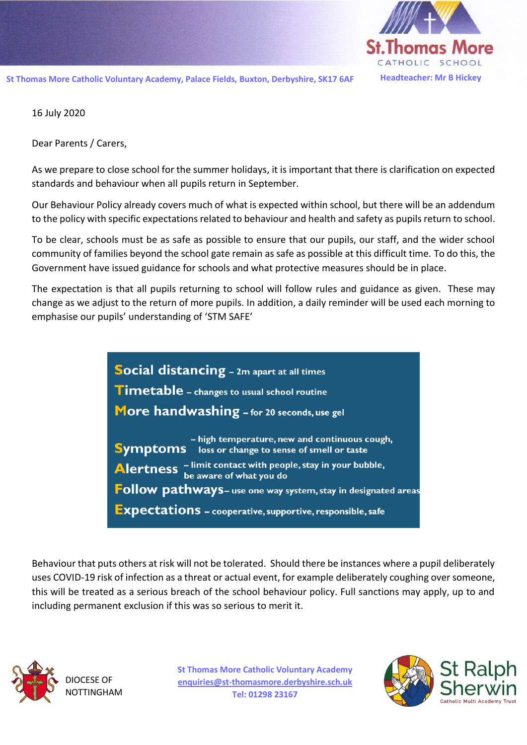

16 July 2020

Dear Parents / Carers,

As we prepare to close school for the summer holidays, it is important that there is clarification on expected standards and behaviour when all pupils return in September.

Our Behaviour Policy already covers much of what is expected within school, but there will be an addendum to the policy with specific expectations related to behaviour and health and safety as pupils return to school.

To be clear, schools must be as safe as possible to ensure that our pupils, our staff, and the wider school community of families beyond the school gate remain as safe as possible at this difficult time. To do this, the Government have issued guidance for schools and what protective measures should be in place.

The expectation is that all pupils returning to school will follow rules and guidance as given. These may change as we adjust to the return of more pupils. In addition, a daily reminder will be used each morning to emphasise our pupils' understanding of 'STM SAFE'

> Social distancing - 2m apart at all times **Timetable** - changes to usual school routine More handwashing - for 20 seconds, use gel - high temperature, new and continuous cough, Symptoms loss or change to sense of smell or taste Alertness - limit contact with people, stay in your bubble,<br>be aware of what you do Follow pathways- use one way system, stay in designated areas **Expectations** - cooperative, supportive, responsible, safe

Behaviour that puts others at risk will not be tolerated. Should there be instances where a pupil deliberately uses COVID-19 risk of infection as a threat or actual event, for example deliberately coughing over someone, this will be treated as a serious breach of the school behaviour policy. Full sanctions may apply, up to and including permanent exclusion if this was so serious to merit it.



**St Thomas More Catholic Voluntary Academy [enquiries@st-thomasmore.derbyshire.sch.uk](mailto:enquiries@st-thomasmore.derbyshire.sch.uk) Tel: 01298 23167**